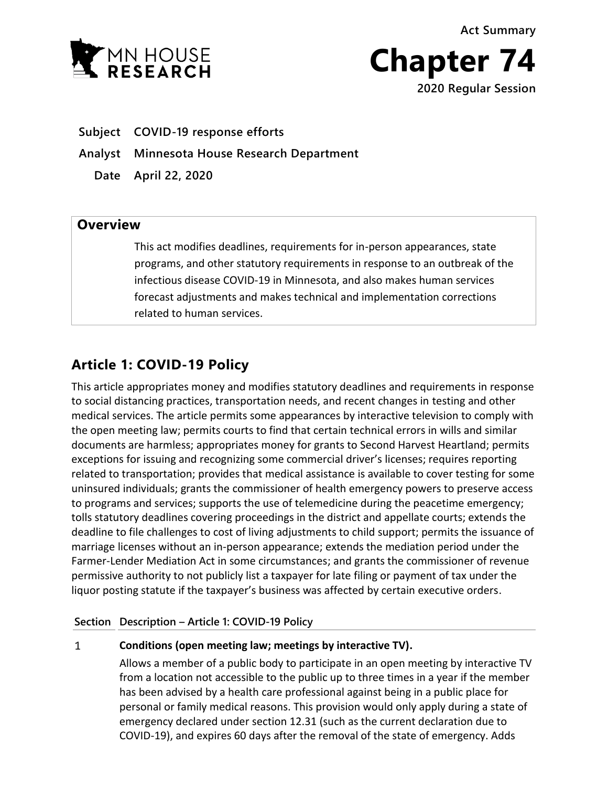**Act Summary**





**Subject COVID-19 response efforts**

**Analyst Minnesota House Research Department**

**Date April 22, 2020**

## **Overview**

This act modifies deadlines, requirements for in-person appearances, state programs, and other statutory requirements in response to an outbreak of the infectious disease COVID-19 in Minnesota, and also makes human services forecast adjustments and makes technical and implementation corrections related to human services.

# **Article 1: COVID-19 Policy**

This article appropriates money and modifies statutory deadlines and requirements in response to social distancing practices, transportation needs, and recent changes in testing and other medical services. The article permits some appearances by interactive television to comply with the open meeting law; permits courts to find that certain technical errors in wills and similar documents are harmless; appropriates money for grants to Second Harvest Heartland; permits exceptions for issuing and recognizing some commercial driver's licenses; requires reporting related to transportation; provides that medical assistance is available to cover testing for some uninsured individuals; grants the commissioner of health emergency powers to preserve access to programs and services; supports the use of telemedicine during the peacetime emergency; tolls statutory deadlines covering proceedings in the district and appellate courts; extends the deadline to file challenges to cost of living adjustments to child support; permits the issuance of marriage licenses without an in-person appearance; extends the mediation period under the Farmer-Lender Mediation Act in some circumstances; and grants the commissioner of revenue permissive authority to not publicly list a taxpayer for late filing or payment of tax under the liquor posting statute if the taxpayer's business was affected by certain executive orders.

## **Section Description – Article 1: COVID-19 Policy**

### $\mathbf{1}$ **Conditions (open meeting law; meetings by interactive TV).**

Allows a member of a public body to participate in an open meeting by interactive TV from a location not accessible to the public up to three times in a year if the member has been advised by a health care professional against being in a public place for personal or family medical reasons. This provision would only apply during a state of emergency declared under section 12.31 (such as the current declaration due to COVID-19), and expires 60 days after the removal of the state of emergency. Adds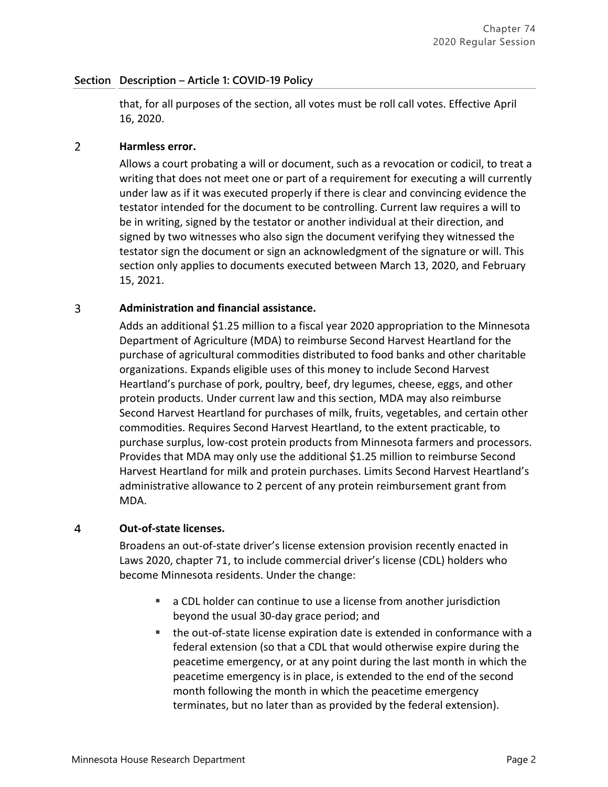that, for all purposes of the section, all votes must be roll call votes. Effective April 16, 2020.

### $\overline{2}$ **Harmless error.**

Allows a court probating a will or document, such as a revocation or codicil, to treat a writing that does not meet one or part of a requirement for executing a will currently under law as if it was executed properly if there is clear and convincing evidence the testator intended for the document to be controlling. Current law requires a will to be in writing, signed by the testator or another individual at their direction, and signed by two witnesses who also sign the document verifying they witnessed the testator sign the document or sign an acknowledgment of the signature or will. This section only applies to documents executed between March 13, 2020, and February 15, 2021.

### 3 **Administration and financial assistance.**

Adds an additional \$1.25 million to a fiscal year 2020 appropriation to the Minnesota Department of Agriculture (MDA) to reimburse Second Harvest Heartland for the purchase of agricultural commodities distributed to food banks and other charitable organizations. Expands eligible uses of this money to include Second Harvest Heartland's purchase of pork, poultry, beef, dry legumes, cheese, eggs, and other protein products. Under current law and this section, MDA may also reimburse Second Harvest Heartland for purchases of milk, fruits, vegetables, and certain other commodities. Requires Second Harvest Heartland, to the extent practicable, to purchase surplus, low-cost protein products from Minnesota farmers and processors. Provides that MDA may only use the additional \$1.25 million to reimburse Second Harvest Heartland for milk and protein purchases. Limits Second Harvest Heartland's administrative allowance to 2 percent of any protein reimbursement grant from MDA.

#### 4 **Out-of-state licenses.**

Broadens an out-of-state driver's license extension provision recently enacted in Laws 2020, chapter 71, to include commercial driver's license (CDL) holders who become Minnesota residents. Under the change:

- a CDL holder can continue to use a license from another jurisdiction beyond the usual 30-day grace period; and
- the out-of-state license expiration date is extended in conformance with a federal extension (so that a CDL that would otherwise expire during the peacetime emergency, or at any point during the last month in which the peacetime emergency is in place, is extended to the end of the second month following the month in which the peacetime emergency terminates, but no later than as provided by the federal extension).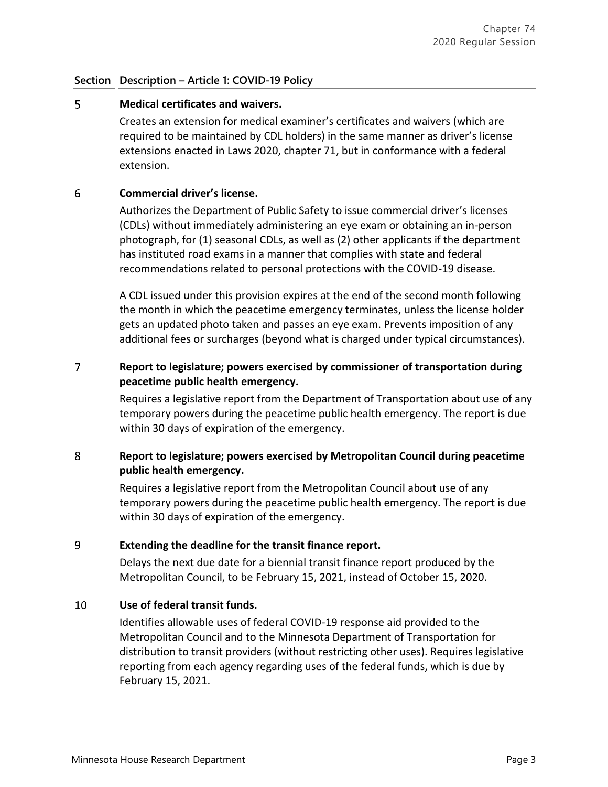### 5 **Medical certificates and waivers.**

Creates an extension for medical examiner's certificates and waivers (which are required to be maintained by CDL holders) in the same manner as driver's license extensions enacted in Laws 2020, chapter 71, but in conformance with a federal extension.

### 6 **Commercial driver's license.**

Authorizes the Department of Public Safety to issue commercial driver's licenses (CDLs) without immediately administering an eye exam or obtaining an in-person photograph, for (1) seasonal CDLs, as well as (2) other applicants if the department has instituted road exams in a manner that complies with state and federal recommendations related to personal protections with the COVID-19 disease.

A CDL issued under this provision expires at the end of the second month following the month in which the peacetime emergency terminates, unless the license holder gets an updated photo taken and passes an eye exam. Prevents imposition of any additional fees or surcharges (beyond what is charged under typical circumstances).

### $\overline{7}$ **Report to legislature; powers exercised by commissioner of transportation during peacetime public health emergency.**

Requires a legislative report from the Department of Transportation about use of any temporary powers during the peacetime public health emergency. The report is due within 30 days of expiration of the emergency.

### 8 **Report to legislature; powers exercised by Metropolitan Council during peacetime public health emergency.**

Requires a legislative report from the Metropolitan Council about use of any temporary powers during the peacetime public health emergency. The report is due within 30 days of expiration of the emergency.

### 9 **Extending the deadline for the transit finance report.**

Delays the next due date for a biennial transit finance report produced by the Metropolitan Council, to be February 15, 2021, instead of October 15, 2020.

### 10 **Use of federal transit funds.**

Identifies allowable uses of federal COVID-19 response aid provided to the Metropolitan Council and to the Minnesota Department of Transportation for distribution to transit providers (without restricting other uses). Requires legislative reporting from each agency regarding uses of the federal funds, which is due by February 15, 2021.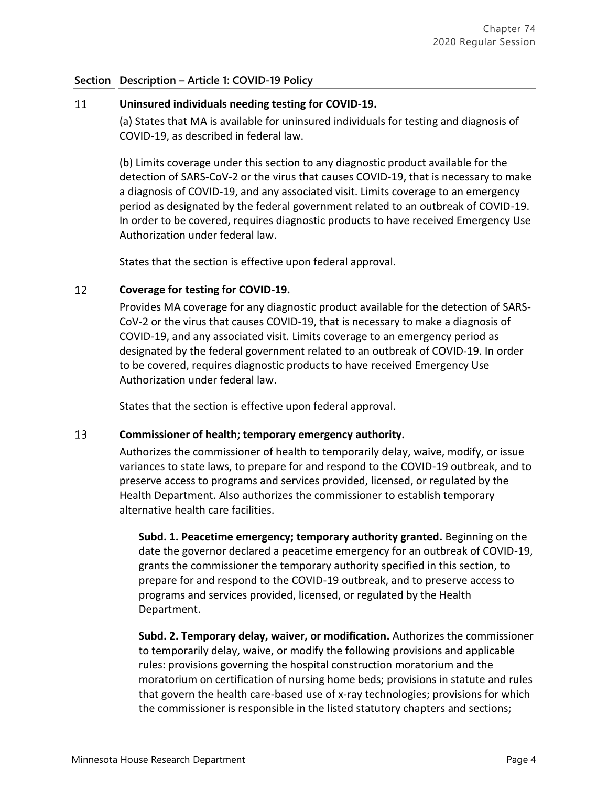### **Uninsured individuals needing testing for COVID-19.** 11

(a) States that MA is available for uninsured individuals for testing and diagnosis of COVID-19, as described in federal law.

(b) Limits coverage under this section to any diagnostic product available for the detection of SARS-CoV-2 or the virus that causes COVID-19, that is necessary to make a diagnosis of COVID-19, and any associated visit. Limits coverage to an emergency period as designated by the federal government related to an outbreak of COVID-19. In order to be covered, requires diagnostic products to have received Emergency Use Authorization under federal law.

States that the section is effective upon federal approval.

### 12 **Coverage for testing for COVID-19.**

Provides MA coverage for any diagnostic product available for the detection of SARS-CoV-2 or the virus that causes COVID-19, that is necessary to make a diagnosis of COVID-19, and any associated visit. Limits coverage to an emergency period as designated by the federal government related to an outbreak of COVID-19. In order to be covered, requires diagnostic products to have received Emergency Use Authorization under federal law.

States that the section is effective upon federal approval.

#### 13 **Commissioner of health; temporary emergency authority.**

Authorizes the commissioner of health to temporarily delay, waive, modify, or issue variances to state laws, to prepare for and respond to the COVID-19 outbreak, and to preserve access to programs and services provided, licensed, or regulated by the Health Department. Also authorizes the commissioner to establish temporary alternative health care facilities.

**Subd. 1. Peacetime emergency; temporary authority granted.** Beginning on the date the governor declared a peacetime emergency for an outbreak of COVID-19, grants the commissioner the temporary authority specified in this section, to prepare for and respond to the COVID-19 outbreak, and to preserve access to programs and services provided, licensed, or regulated by the Health Department.

**Subd. 2. Temporary delay, waiver, or modification.** Authorizes the commissioner to temporarily delay, waive, or modify the following provisions and applicable rules: provisions governing the hospital construction moratorium and the moratorium on certification of nursing home beds; provisions in statute and rules that govern the health care-based use of x-ray technologies; provisions for which the commissioner is responsible in the listed statutory chapters and sections;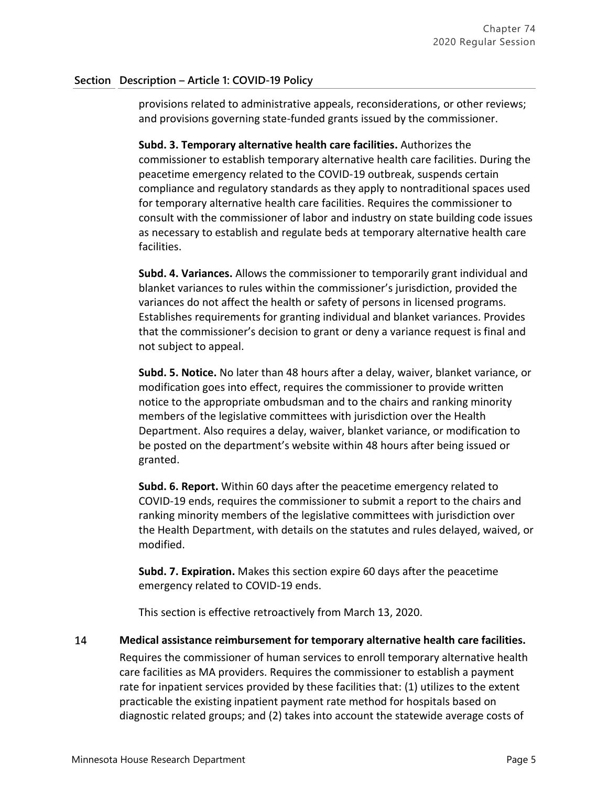provisions related to administrative appeals, reconsiderations, or other reviews; and provisions governing state-funded grants issued by the commissioner.

**Subd. 3. Temporary alternative health care facilities.** Authorizes the commissioner to establish temporary alternative health care facilities. During the peacetime emergency related to the COVID-19 outbreak, suspends certain compliance and regulatory standards as they apply to nontraditional spaces used for temporary alternative health care facilities. Requires the commissioner to consult with the commissioner of labor and industry on state building code issues as necessary to establish and regulate beds at temporary alternative health care facilities.

**Subd. 4. Variances.** Allows the commissioner to temporarily grant individual and blanket variances to rules within the commissioner's jurisdiction, provided the variances do not affect the health or safety of persons in licensed programs. Establishes requirements for granting individual and blanket variances. Provides that the commissioner's decision to grant or deny a variance request is final and not subject to appeal.

**Subd. 5. Notice.** No later than 48 hours after a delay, waiver, blanket variance, or modification goes into effect, requires the commissioner to provide written notice to the appropriate ombudsman and to the chairs and ranking minority members of the legislative committees with jurisdiction over the Health Department. Also requires a delay, waiver, blanket variance, or modification to be posted on the department's website within 48 hours after being issued or granted.

**Subd. 6. Report.** Within 60 days after the peacetime emergency related to COVID-19 ends, requires the commissioner to submit a report to the chairs and ranking minority members of the legislative committees with jurisdiction over the Health Department, with details on the statutes and rules delayed, waived, or modified.

**Subd. 7. Expiration.** Makes this section expire 60 days after the peacetime emergency related to COVID-19 ends.

This section is effective retroactively from March 13, 2020.

#### 14 **Medical assistance reimbursement for temporary alternative health care facilities.**

Requires the commissioner of human services to enroll temporary alternative health care facilities as MA providers. Requires the commissioner to establish a payment rate for inpatient services provided by these facilities that: (1) utilizes to the extent practicable the existing inpatient payment rate method for hospitals based on diagnostic related groups; and (2) takes into account the statewide average costs of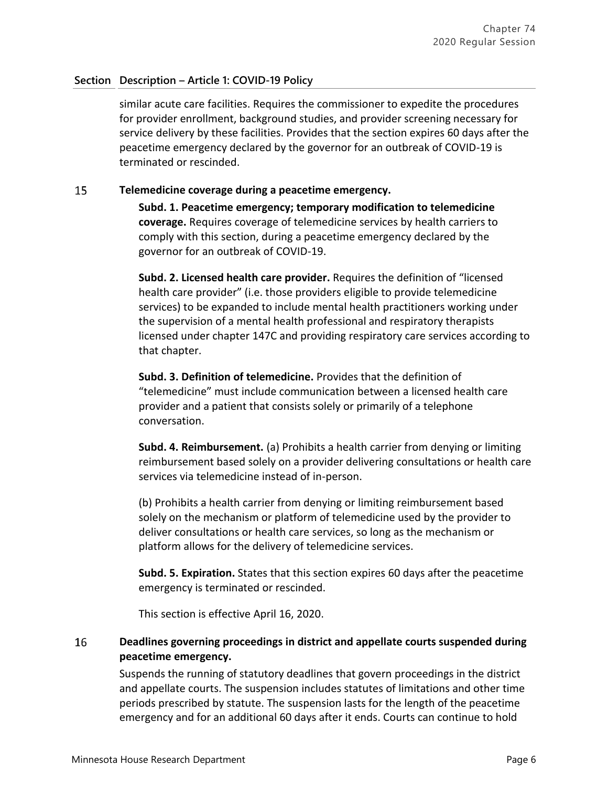similar acute care facilities. Requires the commissioner to expedite the procedures for provider enrollment, background studies, and provider screening necessary for service delivery by these facilities. Provides that the section expires 60 days after the peacetime emergency declared by the governor for an outbreak of COVID-19 is terminated or rescinded.

### 15 **Telemedicine coverage during a peacetime emergency.**

**Subd. 1. Peacetime emergency; temporary modification to telemedicine coverage.** Requires coverage of telemedicine services by health carriers to comply with this section, during a peacetime emergency declared by the governor for an outbreak of COVID-19.

**Subd. 2. Licensed health care provider.** Requires the definition of "licensed health care provider" (i.e. those providers eligible to provide telemedicine services) to be expanded to include mental health practitioners working under the supervision of a mental health professional and respiratory therapists licensed under chapter 147C and providing respiratory care services according to that chapter.

**Subd. 3. Definition of telemedicine.** Provides that the definition of "telemedicine" must include communication between a licensed health care provider and a patient that consists solely or primarily of a telephone conversation.

**Subd. 4. Reimbursement.** (a) Prohibits a health carrier from denying or limiting reimbursement based solely on a provider delivering consultations or health care services via telemedicine instead of in-person.

(b) Prohibits a health carrier from denying or limiting reimbursement based solely on the mechanism or platform of telemedicine used by the provider to deliver consultations or health care services, so long as the mechanism or platform allows for the delivery of telemedicine services.

**Subd. 5. Expiration.** States that this section expires 60 days after the peacetime emergency is terminated or rescinded.

This section is effective April 16, 2020.

### 16 **Deadlines governing proceedings in district and appellate courts suspended during peacetime emergency.**

Suspends the running of statutory deadlines that govern proceedings in the district and appellate courts. The suspension includes statutes of limitations and other time periods prescribed by statute. The suspension lasts for the length of the peacetime emergency and for an additional 60 days after it ends. Courts can continue to hold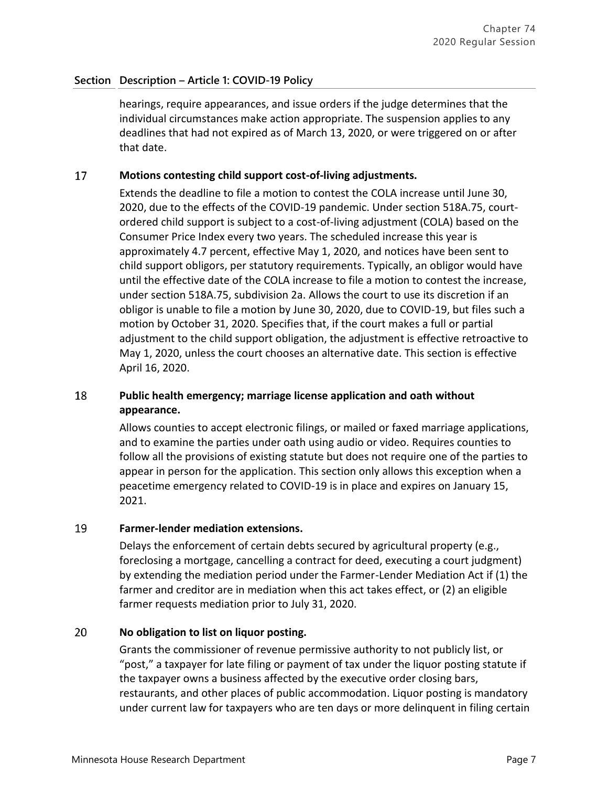hearings, require appearances, and issue orders if the judge determines that the individual circumstances make action appropriate. The suspension applies to any deadlines that had not expired as of March 13, 2020, or were triggered on or after that date.

### 17 **Motions contesting child support cost-of-living adjustments.**

Extends the deadline to file a motion to contest the COLA increase until June 30, 2020, due to the effects of the COVID-19 pandemic. Under section 518A.75, courtordered child support is subject to a cost-of-living adjustment (COLA) based on the Consumer Price Index every two years. The scheduled increase this year is approximately 4.7 percent, effective May 1, 2020, and notices have been sent to child support obligors, per statutory requirements. Typically, an obligor would have until the effective date of the COLA increase to file a motion to contest the increase, under section 518A.75, subdivision 2a. Allows the court to use its discretion if an obligor is unable to file a motion by June 30, 2020, due to COVID-19, but files such a motion by October 31, 2020. Specifies that, if the court makes a full or partial adjustment to the child support obligation, the adjustment is effective retroactive to May 1, 2020, unless the court chooses an alternative date. This section is effective April 16, 2020.

### 18 **Public health emergency; marriage license application and oath without appearance.**

Allows counties to accept electronic filings, or mailed or faxed marriage applications, and to examine the parties under oath using audio or video. Requires counties to follow all the provisions of existing statute but does not require one of the parties to appear in person for the application. This section only allows this exception when a peacetime emergency related to COVID-19 is in place and expires on January 15, 2021.

#### 19 **Farmer-lender mediation extensions.**

Delays the enforcement of certain debts secured by agricultural property (e.g., foreclosing a mortgage, cancelling a contract for deed, executing a court judgment) by extending the mediation period under the Farmer-Lender Mediation Act if (1) the farmer and creditor are in mediation when this act takes effect, or (2) an eligible farmer requests mediation prior to July 31, 2020.

### 20 **No obligation to list on liquor posting.**

Grants the commissioner of revenue permissive authority to not publicly list, or "post," a taxpayer for late filing or payment of tax under the liquor posting statute if the taxpayer owns a business affected by the executive order closing bars, restaurants, and other places of public accommodation. Liquor posting is mandatory under current law for taxpayers who are ten days or more delinquent in filing certain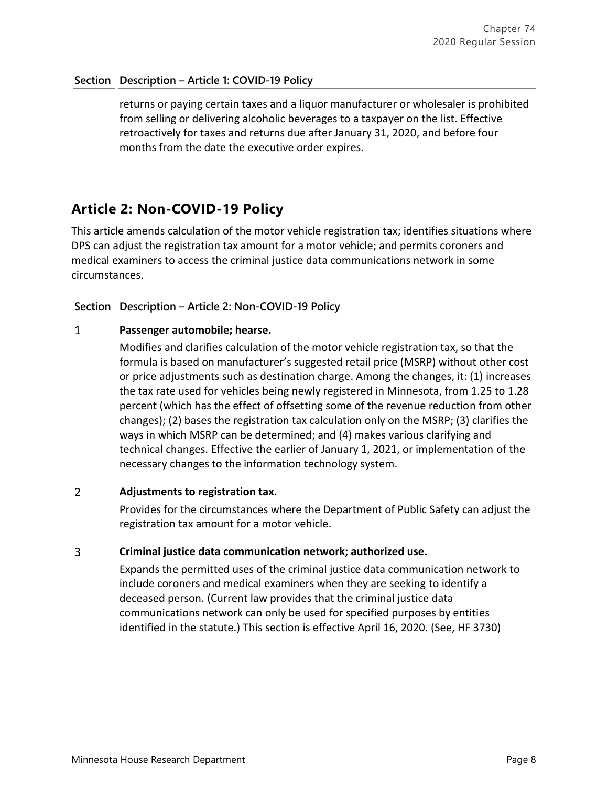returns or paying certain taxes and a liquor manufacturer or wholesaler is prohibited from selling or delivering alcoholic beverages to a taxpayer on the list. Effective retroactively for taxes and returns due after January 31, 2020, and before four months from the date the executive order expires.

# **Article 2: Non-COVID-19 Policy**

This article amends calculation of the motor vehicle registration tax; identifies situations where DPS can adjust the registration tax amount for a motor vehicle; and permits coroners and medical examiners to access the criminal justice data communications network in some circumstances.

## **Section Description – Article 2: Non-COVID-19 Policy**

#### $\mathbf{1}$ **Passenger automobile; hearse.**

Modifies and clarifies calculation of the motor vehicle registration tax, so that the formula is based on manufacturer's suggested retail price (MSRP) without other cost or price adjustments such as destination charge. Among the changes, it: (1) increases the tax rate used for vehicles being newly registered in Minnesota, from 1.25 to 1.28 percent (which has the effect of offsetting some of the revenue reduction from other changes); (2) bases the registration tax calculation only on the MSRP; (3) clarifies the ways in which MSRP can be determined; and (4) makes various clarifying and technical changes. Effective the earlier of January 1, 2021, or implementation of the necessary changes to the information technology system.

### $\overline{2}$ **Adjustments to registration tax.**

Provides for the circumstances where the Department of Public Safety can adjust the registration tax amount for a motor vehicle.

#### $\overline{3}$ **Criminal justice data communication network; authorized use.**

Expands the permitted uses of the criminal justice data communication network to include coroners and medical examiners when they are seeking to identify a deceased person. (Current law provides that the criminal justice data communications network can only be used for specified purposes by entities identified in the statute.) This section is effective April 16, 2020. (See, HF 3730)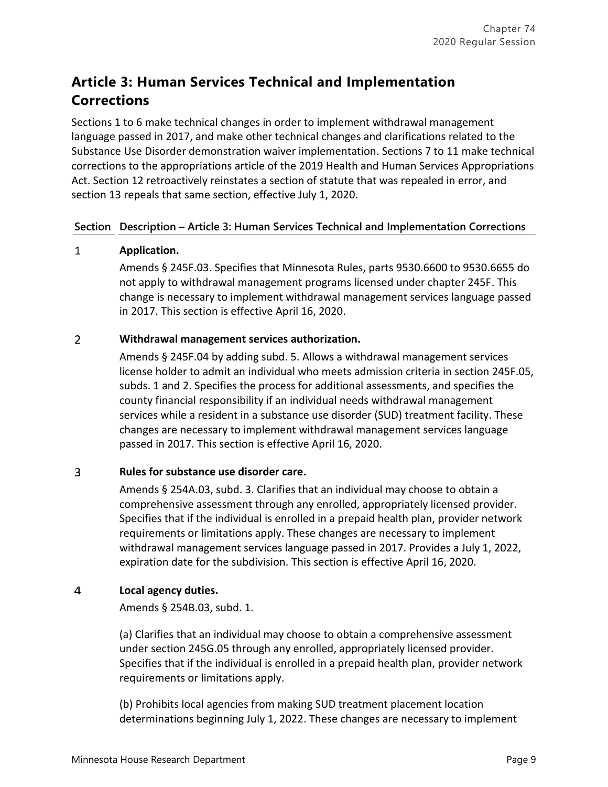# **Article 3: Human Services Technical and Implementation Corrections**

Sections 1 to 6 make technical changes in order to implement withdrawal management language passed in 2017, and make other technical changes and clarifications related to the Substance Use Disorder demonstration waiver implementation. Sections 7 to 11 make technical corrections to the appropriations article of the 2019 Health and Human Services Appropriations Act. Section 12 retroactively reinstates a section of statute that was repealed in error, and section 13 repeals that same section, effective July 1, 2020.

## **Section Description – Article 3: Human Services Technical and Implementation Corrections**

### $\mathbf{1}$ **Application.**

Amends § 245F.03. Specifies that Minnesota Rules, parts 9530.6600 to 9530.6655 do not apply to withdrawal management programs licensed under chapter 245F. This change is necessary to implement withdrawal management services language passed in 2017. This section is effective April 16, 2020.

### $\overline{2}$ **Withdrawal management services authorization.**

Amends § 245F.04 by adding subd. 5. Allows a withdrawal management services license holder to admit an individual who meets admission criteria in section 245F.05, subds. 1 and 2. Specifies the process for additional assessments, and specifies the county financial responsibility if an individual needs withdrawal management services while a resident in a substance use disorder (SUD) treatment facility. These changes are necessary to implement withdrawal management services language passed in 2017. This section is effective April 16, 2020.

### $\overline{3}$ **Rules for substance use disorder care.**

Amends § 254A.03, subd. 3. Clarifies that an individual may choose to obtain a comprehensive assessment through any enrolled, appropriately licensed provider. Specifies that if the individual is enrolled in a prepaid health plan, provider network requirements or limitations apply. These changes are necessary to implement withdrawal management services language passed in 2017. Provides a July 1, 2022, expiration date for the subdivision. This section is effective April 16, 2020.

### $\overline{4}$ **Local agency duties.**

Amends § 254B.03, subd. 1.

(a) Clarifies that an individual may choose to obtain a comprehensive assessment under section 245G.05 through any enrolled, appropriately licensed provider. Specifies that if the individual is enrolled in a prepaid health plan, provider network requirements or limitations apply.

(b) Prohibits local agencies from making SUD treatment placement location determinations beginning July 1, 2022. These changes are necessary to implement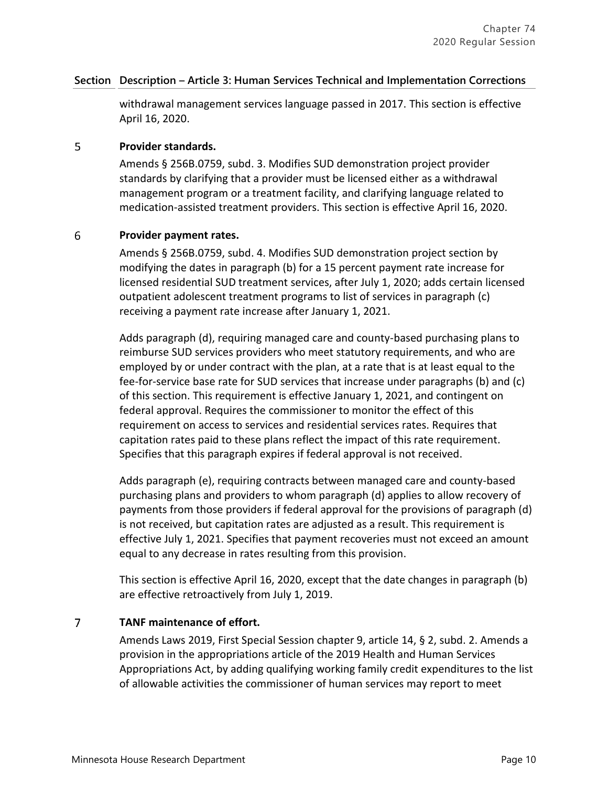### **Section Description – Article 3: Human Services Technical and Implementation Corrections**

withdrawal management services language passed in 2017. This section is effective April 16, 2020.

#### 5 **Provider standards.**

Amends § 256B.0759, subd. 3. Modifies SUD demonstration project provider standards by clarifying that a provider must be licensed either as a withdrawal management program or a treatment facility, and clarifying language related to medication-assisted treatment providers. This section is effective April 16, 2020.

### 6 **Provider payment rates.**

Amends § 256B.0759, subd. 4. Modifies SUD demonstration project section by modifying the dates in paragraph (b) for a 15 percent payment rate increase for licensed residential SUD treatment services, after July 1, 2020; adds certain licensed outpatient adolescent treatment programs to list of services in paragraph (c) receiving a payment rate increase after January 1, 2021.

Adds paragraph (d), requiring managed care and county-based purchasing plans to reimburse SUD services providers who meet statutory requirements, and who are employed by or under contract with the plan, at a rate that is at least equal to the fee-for-service base rate for SUD services that increase under paragraphs (b) and (c) of this section. This requirement is effective January 1, 2021, and contingent on federal approval. Requires the commissioner to monitor the effect of this requirement on access to services and residential services rates. Requires that capitation rates paid to these plans reflect the impact of this rate requirement. Specifies that this paragraph expires if federal approval is not received.

Adds paragraph (e), requiring contracts between managed care and county-based purchasing plans and providers to whom paragraph (d) applies to allow recovery of payments from those providers if federal approval for the provisions of paragraph (d) is not received, but capitation rates are adjusted as a result. This requirement is effective July 1, 2021. Specifies that payment recoveries must not exceed an amount equal to any decrease in rates resulting from this provision.

This section is effective April 16, 2020, except that the date changes in paragraph (b) are effective retroactively from July 1, 2019.

### $\overline{7}$ **TANF maintenance of effort.**

Amends Laws 2019, First Special Session chapter 9, article 14, § 2, subd. 2. Amends a provision in the appropriations article of the 2019 Health and Human Services Appropriations Act, by adding qualifying working family credit expenditures to the list of allowable activities the commissioner of human services may report to meet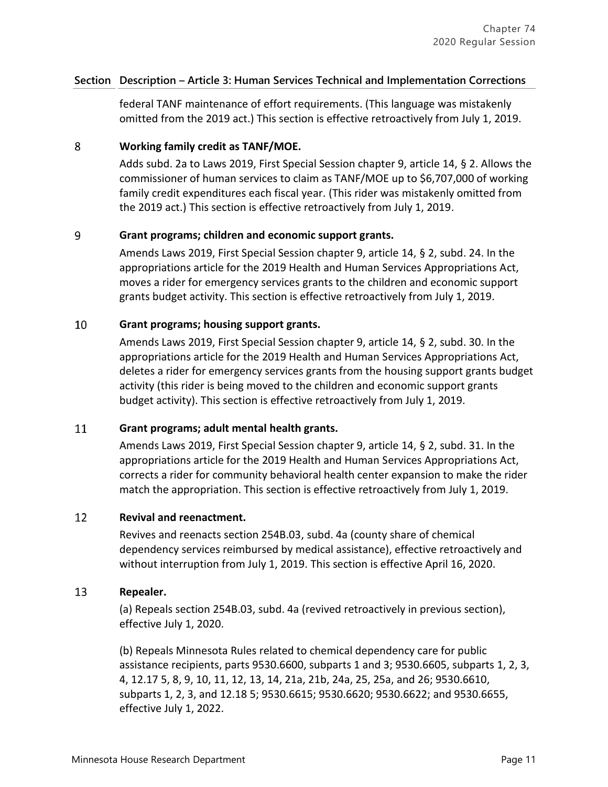### **Section Description – Article 3: Human Services Technical and Implementation Corrections**

federal TANF maintenance of effort requirements. (This language was mistakenly omitted from the 2019 act.) This section is effective retroactively from July 1, 2019.

### 8 **Working family credit as TANF/MOE.**

Adds subd. 2a to Laws 2019, First Special Session chapter 9, article 14, § 2. Allows the commissioner of human services to claim as TANF/MOE up to \$6,707,000 of working family credit expenditures each fiscal year. (This rider was mistakenly omitted from the 2019 act.) This section is effective retroactively from July 1, 2019.

### 9 **Grant programs; children and economic support grants.**

Amends Laws 2019, First Special Session chapter 9, article 14, § 2, subd. 24. In the appropriations article for the 2019 Health and Human Services Appropriations Act, moves a rider for emergency services grants to the children and economic support grants budget activity. This section is effective retroactively from July 1, 2019.

### 10 **Grant programs; housing support grants.**

Amends Laws 2019, First Special Session chapter 9, article 14, § 2, subd. 30. In the appropriations article for the 2019 Health and Human Services Appropriations Act, deletes a rider for emergency services grants from the housing support grants budget activity (this rider is being moved to the children and economic support grants budget activity). This section is effective retroactively from July 1, 2019.

#### 11 **Grant programs; adult mental health grants.**

Amends Laws 2019, First Special Session chapter 9, article 14, § 2, subd. 31. In the appropriations article for the 2019 Health and Human Services Appropriations Act, corrects a rider for community behavioral health center expansion to make the rider match the appropriation. This section is effective retroactively from July 1, 2019.

#### 12 **Revival and reenactment.**

Revives and reenacts section 254B.03, subd. 4a (county share of chemical dependency services reimbursed by medical assistance), effective retroactively and without interruption from July 1, 2019. This section is effective April 16, 2020.

#### 13 **Repealer.**

(a) Repeals section 254B.03, subd. 4a (revived retroactively in previous section), effective July 1, 2020.

(b) Repeals Minnesota Rules related to chemical dependency care for public assistance recipients, parts 9530.6600, subparts 1 and 3; 9530.6605, subparts 1, 2, 3, 4, 12.17 5, 8, 9, 10, 11, 12, 13, 14, 21a, 21b, 24a, 25, 25a, and 26; 9530.6610, subparts 1, 2, 3, and 12.18 5; 9530.6615; 9530.6620; 9530.6622; and 9530.6655, effective July 1, 2022.